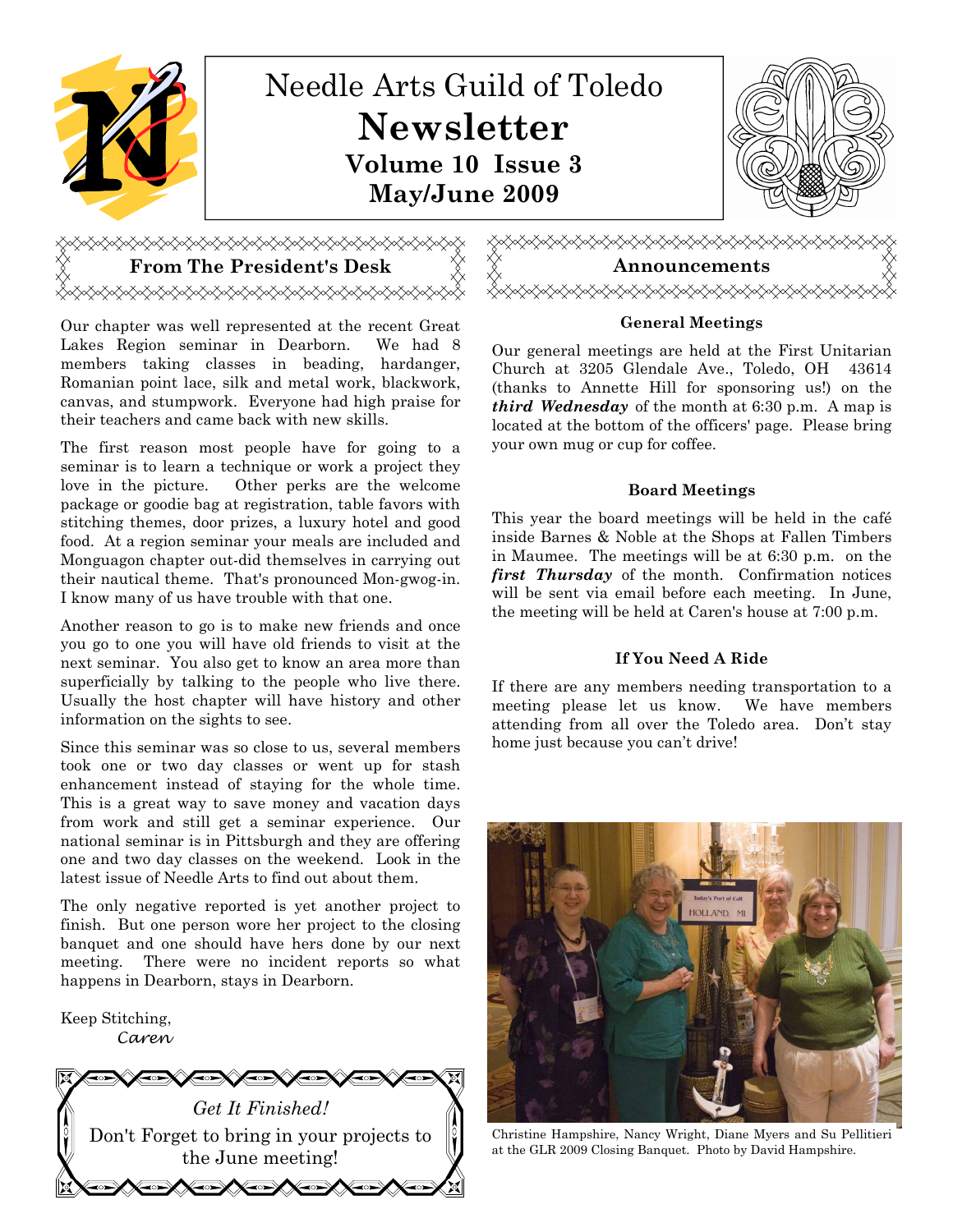

# <del></del>

Our chapter was well represented at the recent Great Lakes Region seminar in Dearborn. We had 8 members taking classes in beading, hardanger, Romanian point lace, silk and metal work, blackwork, canvas, and stumpwork. Everyone had high praise for their teachers and came back with new skills.

The first reason most people have for going to a seminar is to learn a technique or work a project they love in the picture. Other perks are the welcome package or goodie bag at registration, table favors with stitching themes, door prizes, a luxury hotel and good food. At a region seminar your meals are included and Monguagon chapter out-did themselves in carrying out their nautical theme. That's pronounced Mon-gwog-in. I know many of us have trouble with that one.

Another reason to go is to make new friends and once you go to one you will have old friends to visit at the next seminar. You also get to know an area more than superficially by talking to the people who live there. Usually the host chapter will have history and other information on the sights to see.

Since this seminar was so close to us, several members took one or two day classes or went up for stash enhancement instead of staying for the whole time. This is a great way to save money and vacation days from work and still get a seminar experience. Our national seminar is in Pittsburgh and they are offering one and two day classes on the weekend. Look in the latest issue of Needle Arts to find out about them.

The only negative reported is yet another project to finish. But one person wore her project to the closing banquet and one should have hers done by our next meeting. There were no incident reports so what happens in Dearborn, stays in Dearborn.

Keep Stitching, Caren





## General Meetings

Our general meetings are held at the First Unitarian Church at 3205 Glendale Ave., Toledo, OH 43614 (thanks to Annette Hill for sponsoring us!) on the *third Wednesday* of the month at  $6:30$  p.m. A map is located at the bottom of the officers' page. Please bring your own mug or cup for coffee.

## Board Meetings

This year the board meetings will be held in the café inside Barnes & Noble at the Shops at Fallen Timbers in Maumee. The meetings will be at 6:30 p.m. on the first Thursday of the month. Confirmation notices will be sent via email before each meeting. In June, the meeting will be held at Caren's house at 7:00 p.m.

## If You Need A Ride

If there are any members needing transportation to a meeting please let us know. We have members attending from all over the Toledo area. Don't stay home just because you can't drive!



Christine Hampshire, Nancy Wright, Diane Myers and Su Pellitieri at the GLR 2009 Closing Banquet. Photo by David Hampshire.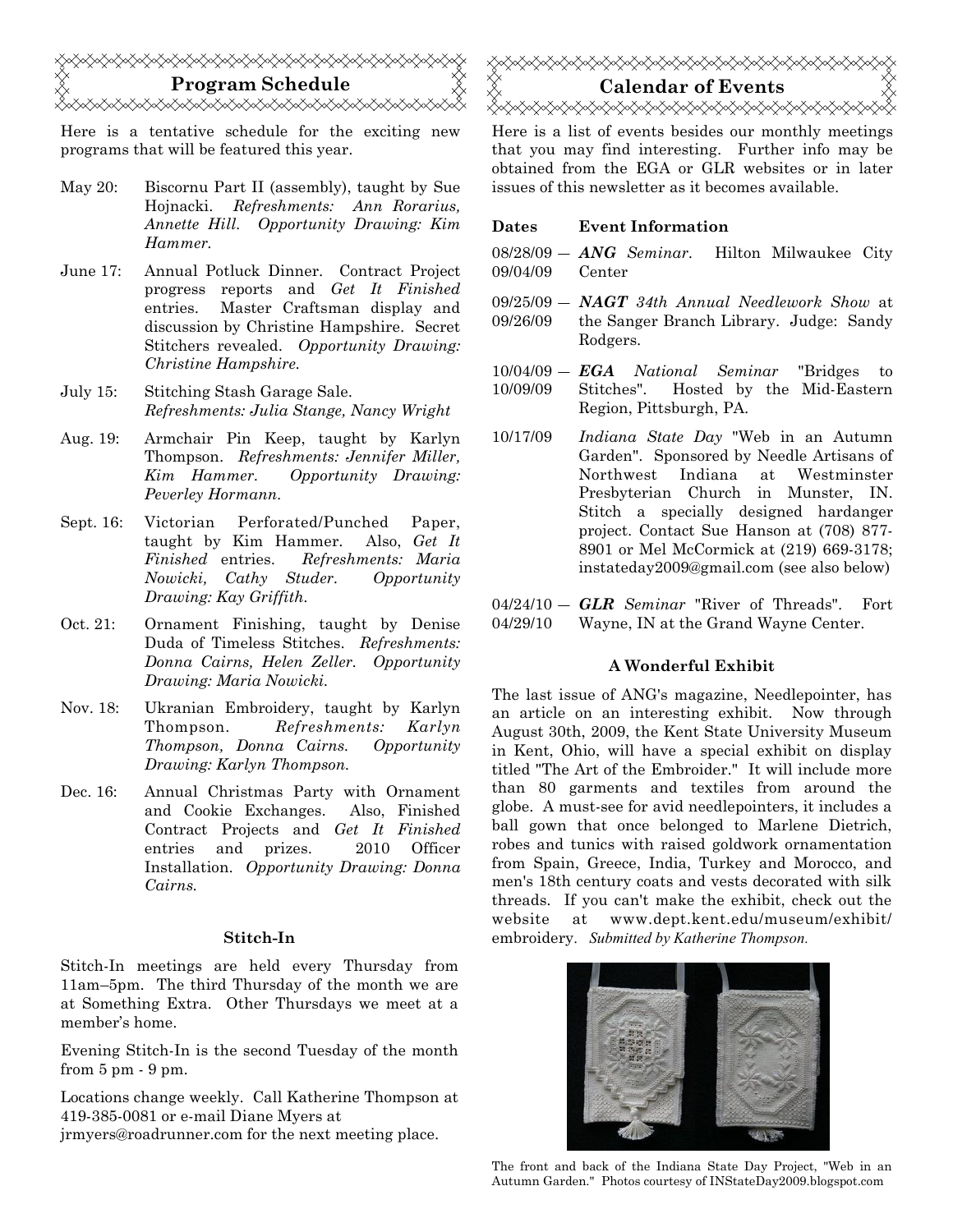

Here is a tentative schedule for the exciting new programs that will be featured this year.

- May 20: Biscornu Part II (assembly), taught by Sue Hojnacki. Refreshments: Ann Rorarius, Annette Hill. Opportunity Drawing: Kim Hammer.
- June 17: Annual Potluck Dinner. Contract Project progress reports and Get It Finished entries. Master Craftsman display and discussion by Christine Hampshire. Secret Stitchers revealed. Opportunity Drawing: Christine Hampshire.
- July 15: Stitching Stash Garage Sale. Refreshments: Julia Stange, Nancy Wright
- Aug. 19: Armchair Pin Keep, taught by Karlyn Thompson. Refreshments: Jennifer Miller, Kim Hammer. Opportunity Drawing: Peverley Hormann.
- Sept. 16: Victorian Perforated/Punched Paper, taught by Kim Hammer. Also, Get It Finished entries. Refreshments: Maria Nowicki, Cathy Studer. Opportunity Drawing: Kay Griffith.
- Oct. 21: Ornament Finishing, taught by Denise Duda of Timeless Stitches. Refreshments: Donna Cairns, Helen Zeller. Opportunity Drawing: Maria Nowicki.
- Nov. 18: Ukranian Embroidery, taught by Karlyn Thompson. Refreshments: Karlyn Thompson, Donna Cairns. Opportunity Drawing: Karlyn Thompson.
- Dec. 16: Annual Christmas Party with Ornament and Cookie Exchanges. Also, Finished Contract Projects and Get It Finished entries and prizes. 2010 Officer Installation. Opportunity Drawing: Donna Cairns.

#### Stitch-In

Stitch-In meetings are held every Thursday from 11am–5pm. The third Thursday of the month we are at Something Extra. Other Thursdays we meet at a member's home.

Evening Stitch-In is the second Tuesday of the month from 5 pm - 9 pm.

Locations change weekly. Call Katherine Thompson at 419-385-0081 or e-mail Diane Myers at jrmyers@roadrunner.com for the next meeting place.



Here is a list of events besides our monthly meetings that you may find interesting. Further info may be obtained from the EGA or GLR websites or in later issues of this newsletter as it becomes available.

#### Dates Event Information

 $08/28/09$  –  $\textbf{ANG}$  Seminar. 09/04/09 Hilton Milwaukee City Center

 $09/25/09 - NAGT$  34th Annual Needlework Show at 09/26/09 the Sanger Branch Library. Judge: Sandy Rodgers.

 $10/04/09 - \textit{EGA}$  National Seminar "Bridges to 10/09/09 Stitches". Hosted by the Mid-Eastern Region, Pittsburgh, PA.

10/17/09 Indiana State Day "Web in an Autumn Garden". Sponsored by Needle Artisans of Northwest Indiana at Westminster Presbyterian Church in Munster, IN. Stitch a specially designed hardanger project. Contact Sue Hanson at (708) 877- 8901 or Mel McCormick at (219) 669-3178; instateday2009@gmail.com (see also below)

 $04/24/10 - GLR$  Seminar "River of Threads". Fort 04/29/10 Wayne, IN at the Grand Wayne Center.

#### A Wonderful Exhibit

The last issue of ANG's magazine, Needlepointer, has an article on an interesting exhibit. Now through August 30th, 2009, the Kent State University Museum in Kent, Ohio, will have a special exhibit on display titled "The Art of the Embroider." It will include more than 80 garments and textiles from around the globe. A must-see for avid needlepointers, it includes a ball gown that once belonged to Marlene Dietrich, robes and tunics with raised goldwork ornamentation from Spain, Greece, India, Turkey and Morocco, and men's 18th century coats and vests decorated with silk threads. If you can't make the exhibit, check out the website at www.dept.kent.edu/museum/exhibit/ embroidery. Submitted by Katherine Thompson.



The front and back of the Indiana State Day Project, "Web in an Autumn Garden." Photos courtesy of INStateDay2009.blogspot.com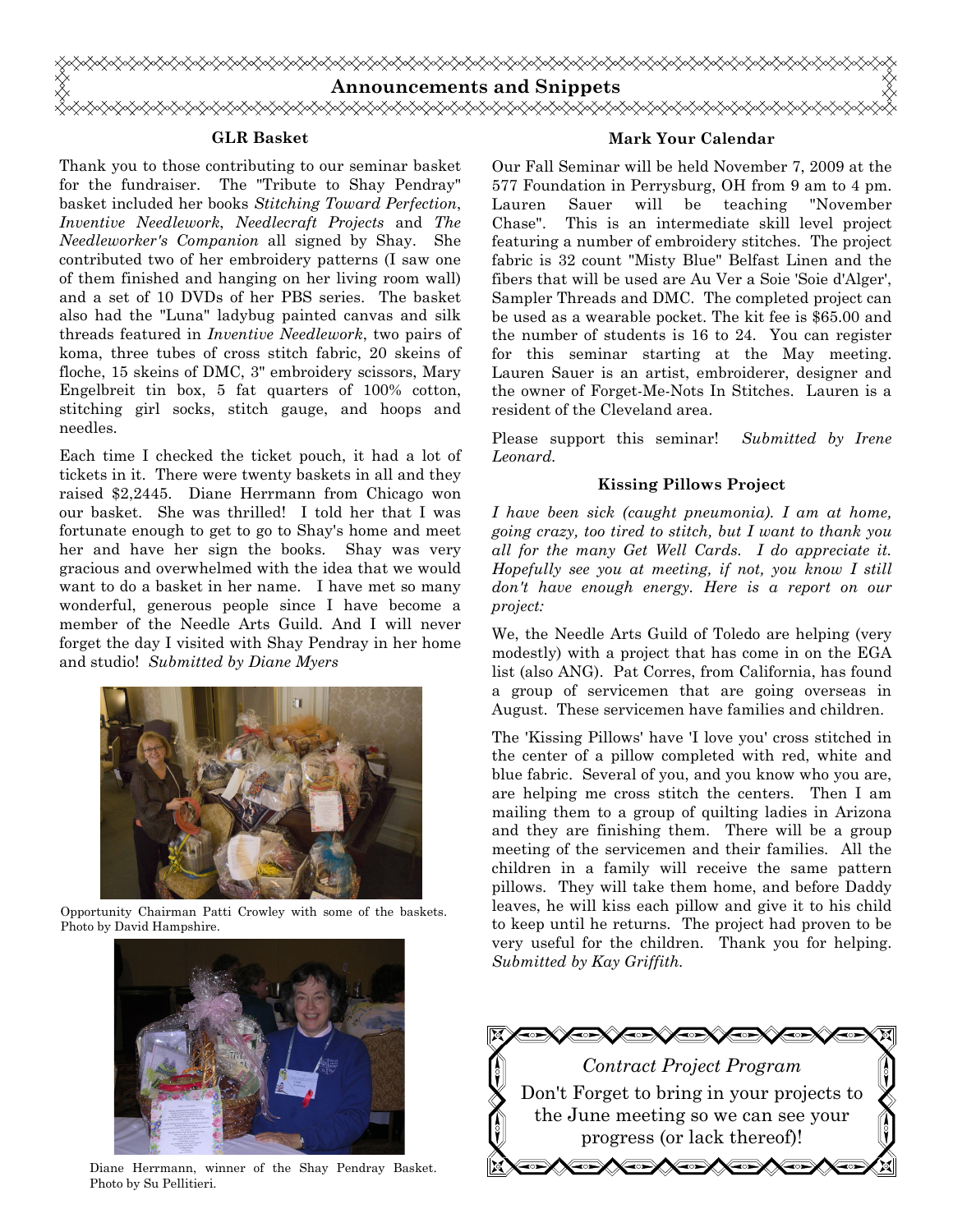

#### GLR Basket

Thank you to those contributing to our seminar basket for the fundraiser. The "Tribute to Shay Pendray" basket included her books Stitching Toward Perfection, Inventive Needlework, Needlecraft Projects and The Needleworker's Companion all signed by Shay. She contributed two of her embroidery patterns (I saw one of them finished and hanging on her living room wall) and a set of 10 DVDs of her PBS series. The basket also had the "Luna" ladybug painted canvas and silk threads featured in Inventive Needlework, two pairs of koma, three tubes of cross stitch fabric, 20 skeins of floche, 15 skeins of DMC, 3" embroidery scissors, Mary Engelbreit tin box, 5 fat quarters of 100% cotton, stitching girl socks, stitch gauge, and hoops and needles.

Each time I checked the ticket pouch, it had a lot of tickets in it. There were twenty baskets in all and they raised \$2,2445. Diane Herrmann from Chicago won our basket. She was thrilled! I told her that I was fortunate enough to get to go to Shay's home and meet her and have her sign the books. Shay was very gracious and overwhelmed with the idea that we would want to do a basket in her name. I have met so many wonderful, generous people since I have become a member of the Needle Arts Guild. And I will never forget the day I visited with Shay Pendray in her home and studio! Submitted by Diane Myers



Opportunity Chairman Patti Crowley with some of the baskets. Photo by David Hampshire.



Diane Herrmann, winner of the Shay Pendray Basket. Photo by Su Pellitieri.

#### Mark Your Calendar

Our Fall Seminar will be held November 7, 2009 at the 577 Foundation in Perrysburg, OH from 9 am to 4 pm. Lauren Sauer will be teaching "November Chase". This is an intermediate skill level project featuring a number of embroidery stitches. The project fabric is 32 count "Misty Blue" Belfast Linen and the fibers that will be used are Au Ver a Soie 'Soie d'Alger', Sampler Threads and DMC. The completed project can be used as a wearable pocket. The kit fee is \$65.00 and the number of students is 16 to 24. You can register for this seminar starting at the May meeting. Lauren Sauer is an artist, embroiderer, designer and the owner of Forget-Me-Nots In Stitches. Lauren is a resident of the Cleveland area.

Please support this seminar! Submitted by Irene Leonard.

#### Kissing Pillows Project

I have been sick (caught pneumonia). I am at home, going crazy, too tired to stitch, but I want to thank you all for the many Get Well Cards. I do appreciate it. Hopefully see you at meeting, if not, you know I still don't have enough energy. Here is a report on our project:

We, the Needle Arts Guild of Toledo are helping (very modestly) with a project that has come in on the EGA list (also ANG). Pat Corres, from California, has found a group of servicemen that are going overseas in August. These servicemen have families and children.

The 'Kissing Pillows' have 'I love you' cross stitched in the center of a pillow completed with red, white and blue fabric. Several of you, and you know who you are, are helping me cross stitch the centers. Then I am mailing them to a group of quilting ladies in Arizona and they are finishing them. There will be a group meeting of the servicemen and their families. All the children in a family will receive the same pattern pillows. They will take them home, and before Daddy leaves, he will kiss each pillow and give it to his child to keep until he returns. The project had proven to be very useful for the children. Thank you for helping. Submitted by Kay Griffith.

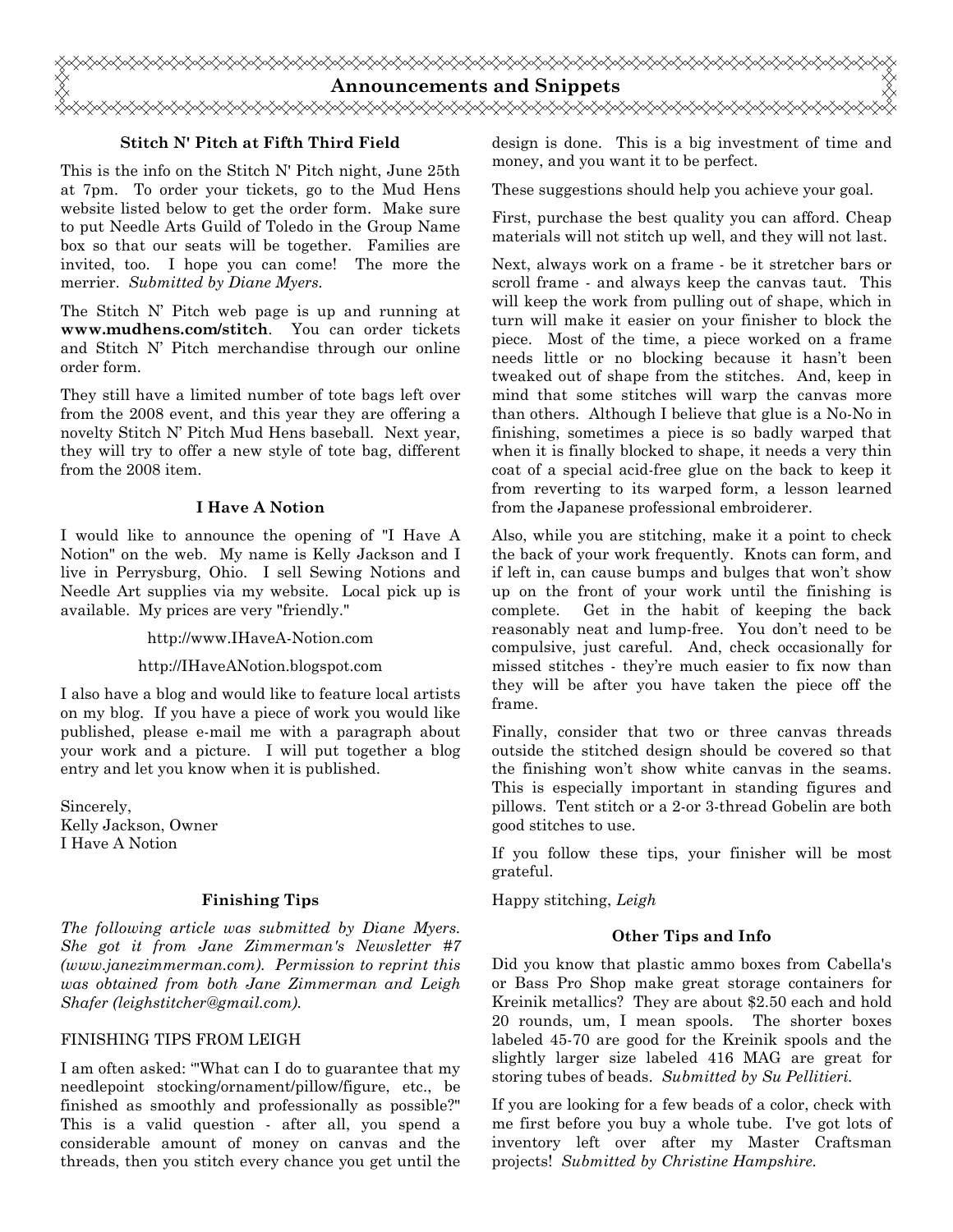

## Stitch N' Pitch at Fifth Third Field

This is the info on the Stitch N' Pitch night, June 25th at 7pm. To order your tickets, go to the Mud Hens website listed below to get the order form. Make sure to put Needle Arts Guild of Toledo in the Group Name box so that our seats will be together. Families are invited, too. I hope you can come! The more the merrier. Submitted by Diane Myers.

The Stitch N' Pitch web page is up and running at www.mudhens.com/stitch. You can order tickets and Stitch N' Pitch merchandise through our online order form.

They still have a limited number of tote bags left over from the 2008 event, and this year they are offering a novelty Stitch N' Pitch Mud Hens baseball. Next year, they will try to offer a new style of tote bag, different from the 2008 item.

## I Have A Notion

I would like to announce the opening of "I Have A Notion" on the web. My name is Kelly Jackson and I live in Perrysburg, Ohio. I sell Sewing Notions and Needle Art supplies via my website. Local pick up is available. My prices are very "friendly."

http://www.IHaveA-Notion.com

## http://IHaveANotion.blogspot.com

I also have a blog and would like to feature local artists on my blog. If you have a piece of work you would like published, please e-mail me with a paragraph about your work and a picture. I will put together a blog entry and let you know when it is published.

Sincerely, Kelly Jackson, Owner I Have A Notion

## Finishing Tips

The following article was submitted by Diane Myers. She got it from Jane Zimmerman's Newsletter #7 (www.janezimmerman.com). Permission to reprint this was obtained from both Jane Zimmerman and Leigh Shafer (leighstitcher@gmail.com).

## FINISHING TIPS FROM LEIGH

I am often asked: '"What can I do to guarantee that my needlepoint stocking/ornament/pillow/figure, etc., be finished as smoothly and professionally as possible?" This is a valid question - after all, you spend a considerable amount of money on canvas and the threads, then you stitch every chance you get until the design is done. This is a big investment of time and money, and you want it to be perfect.

These suggestions should help you achieve your goal.

First, purchase the best quality you can afford. Cheap materials will not stitch up well, and they will not last.

Next, always work on a frame - be it stretcher bars or scroll frame - and always keep the canvas taut. This will keep the work from pulling out of shape, which in turn will make it easier on your finisher to block the piece. Most of the time, a piece worked on a frame needs little or no blocking because it hasn't been tweaked out of shape from the stitches. And, keep in mind that some stitches will warp the canvas more than others. Although I believe that glue is a No-No in finishing, sometimes a piece is so badly warped that when it is finally blocked to shape, it needs a very thin coat of a special acid-free glue on the back to keep it from reverting to its warped form, a lesson learned from the Japanese professional embroiderer.

Also, while you are stitching, make it a point to check the back of your work frequently. Knots can form, and if left in, can cause bumps and bulges that won't show up on the front of your work until the finishing is complete. Get in the habit of keeping the back reasonably neat and lump-free. You don't need to be compulsive, just careful. And, check occasionally for missed stitches - they're much easier to fix now than they will be after you have taken the piece off the frame.

Finally, consider that two or three canvas threads outside the stitched design should be covered so that the finishing won't show white canvas in the seams. This is especially important in standing figures and pillows. Tent stitch or a 2-or 3-thread Gobelin are both good stitches to use.

If you follow these tips, your finisher will be most grateful.

Happy stitching, Leigh

## Other Tips and Info

Did you know that plastic ammo boxes from Cabella's or Bass Pro Shop make great storage containers for Kreinik metallics? They are about \$2.50 each and hold 20 rounds, um, I mean spools. The shorter boxes labeled 45-70 are good for the Kreinik spools and the slightly larger size labeled 416 MAG are great for storing tubes of beads. Submitted by Su Pellitieri.

If you are looking for a few beads of a color, check with me first before you buy a whole tube. I've got lots of inventory left over after my Master Craftsman projects! Submitted by Christine Hampshire.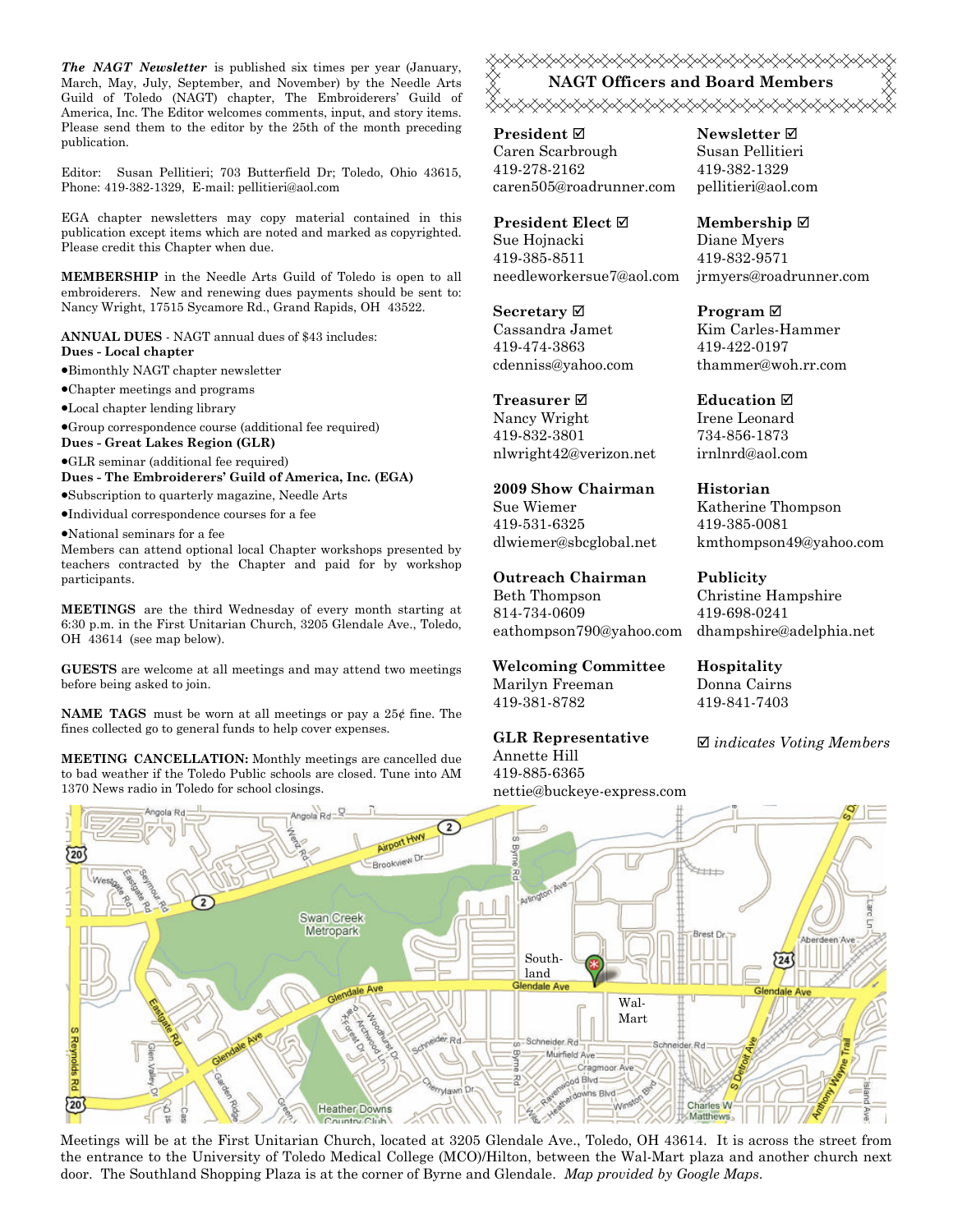The NAGT Newsletter is published six times per year (January, March, May, July, September, and November) by the Needle Arts Guild of Toledo (NAGT) chapter, The Embroiderers' Guild of America, Inc. The Editor welcomes comments, input, and story items. Please send them to the editor by the 25th of the month preceding publication.

Editor: Susan Pellitieri; 703 Butterfield Dr; Toledo, Ohio 43615, Phone: 419-382-1329, E-mail: pellitieri@aol.com

EGA chapter newsletters may copy material contained in this publication except items which are noted and marked as copyrighted. Please credit this Chapter when due.

MEMBERSHIP in the Needle Arts Guild of Toledo is open to all embroiderers. New and renewing dues payments should be sent to: Nancy Wright, 17515 Sycamore Rd., Grand Rapids, OH 43522.

ANNUAL DUES - NAGT annual dues of \$43 includes: Dues - Local chapter

•Bimonthly NAGT chapter newsletter

•Chapter meetings and programs

•Local chapter lending library

•Group correspondence course (additional fee required)

Dues - Great Lakes Region (GLR)

•GLR seminar (additional fee required)

Dues - The Embroiderers' Guild of America, Inc. (EGA) •Subscription to quarterly magazine, Needle Arts

•Individual correspondence courses for a fee

•National seminars for a fee

Members can attend optional local Chapter workshops presented by teachers contracted by the Chapter and paid for by workshop participants.

MEETINGS are the third Wednesday of every month starting at 6:30 p.m. in the First Unitarian Church, 3205 Glendale Ave., Toledo, OH 43614 (see map below).

GUESTS are welcome at all meetings and may attend two meetings before being asked to join.

**NAME TAGS** must be worn at all meetings or pay a  $25¢$  fine. The fines collected go to general funds to help cover expenses.

MEETING CANCELLATION: Monthly meetings are cancelled due to bad weather if the Toledo Public schools are closed. Tune into AM 1370 News radio in Toledo for school closings.

**۞۞۞۞۞۞۞۞۞۞۞۞۞۞۞۞۞۞۞۞** NAGT Officers and Board Members <del></del>

President ⊠ Caren Scarbrough 419-278-2162 caren505@roadrunner.com

President Elect Sue Hojnacki 419-385-8511 needleworkersue7@aol.com

Secretary  $\boxtimes$ Cassandra Jamet 419-474-3863 cdenniss@yahoo.com

Treasurer **⊠** Nancy Wright 419-832-3801 nlwright42@verizon.net

2009 Show Chairman Sue Wiemer 419-531-6325 dlwiemer@sbcglobal.net

Outreach Chairman Beth Thompson 814-734-0609 eathompson790@yahoo.com

Welcoming Committee Marilyn Freeman 419-381-8782

GLR Representative Annette Hill 419-885-6365 nettie@buckeye-express.com Newsletter  $\boxtimes$ Susan Pellitieri 419-382-1329 pellitieri@aol.com

Membership ⊠ Diane Myers 419-832-9571 jrmyers@roadrunner.com

Program **⊠** Kim Carles-Hammer 419-422-0197 thammer@woh.rr.com

**Education ⊠** Irene Leonard 734-856-1873 irnlnrd@aol.com

Historian Katherine Thompson 419-385-0081 kmthompson49@yahoo.com

Publicity Christine Hampshire 419-698-0241 dhampshire@adelphia.net

Hospitality Donna Cairns 419-841-7403

 $\boxtimes$  indicates Voting Members



Meetings will be at the First Unitarian Church, located at 3205 Glendale Ave., Toledo, OH 43614. It is across the street from the entrance to the University of Toledo Medical College (MCO)/Hilton, between the Wal-Mart plaza and another church next door. The Southland Shopping Plaza is at the corner of Byrne and Glendale. Map provided by Google Maps.